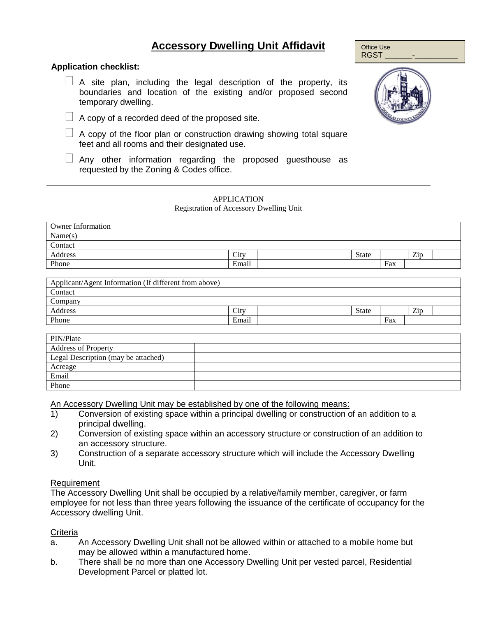# **Accessory Dwelling Unit Affidavit**

# **Application checklist:**

- $\Box$  A site plan, including the legal description of the property, its boundaries and location of the existing and/or proposed second temporary dwelling.
- $\Box$  A copy of a recorded deed of the proposed site.
- $\Box$  A copy of the floor plan or construction drawing showing total square feet and all rooms and their designated use.
- $\Box$  Any other information regarding the proposed guesthouse as requested by the Zoning & Codes office.

# APPLICATION

#### Registration of Accessory Dwelling Unit

| <b>Owner Information</b> |       |       |     |     |  |
|--------------------------|-------|-------|-----|-----|--|
| Name(s)                  |       |       |     |     |  |
| Contact                  |       |       |     |     |  |
| Address                  | City  | State |     | Zip |  |
| Phone                    | Email |       | Fax |     |  |

|         | Applicant/Agent Information (If different from above) |       |              |     |     |  |
|---------|-------------------------------------------------------|-------|--------------|-----|-----|--|
| Contact |                                                       |       |              |     |     |  |
| Company |                                                       |       |              |     |     |  |
| Address |                                                       | City  | <b>State</b> |     | Zip |  |
| Phone   |                                                       | Email |              | Fax |     |  |

| PIN/Plate                           |  |
|-------------------------------------|--|
| <b>Address of Property</b>          |  |
| Legal Description (may be attached) |  |
| Acreage                             |  |
| Email                               |  |
| Phone                               |  |

An Accessory Dwelling Unit may be established by one of the following means:

- 1) Conversion of existing space within a principal dwelling or construction of an addition to a principal dwelling.
- 2) Conversion of existing space within an accessory structure or construction of an addition to an accessory structure.
- 3) Construction of a separate accessory structure which will include the Accessory Dwelling Unit.

## Requirement

The Accessory Dwelling Unit shall be occupied by a relative/family member, caregiver, or farm employee for not less than three years following the issuance of the certificate of occupancy for the Accessory dwelling Unit.

## **Criteria**

- a. An Accessory Dwelling Unit shall not be allowed within or attached to a mobile home but may be allowed within a manufactured home.
- b. There shall be no more than one Accessory Dwelling Unit per vested parcel, Residential Development Parcel or platted lot.



Office Use RGST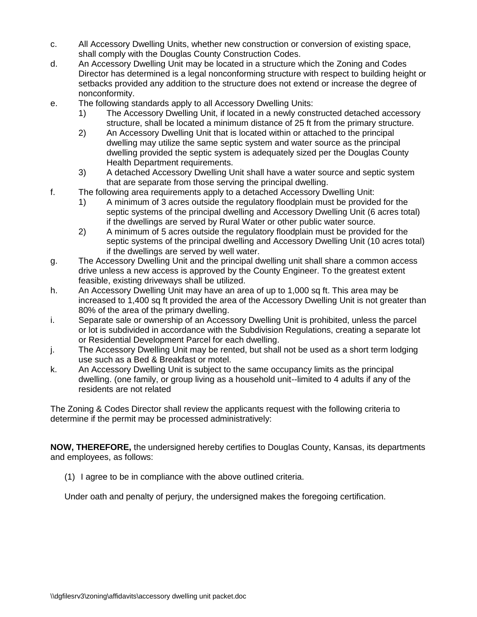- c. All Accessory Dwelling Units, whether new construction or conversion of existing space, shall comply with the Douglas County Construction Codes.
- d. An Accessory Dwelling Unit may be located in a structure which the Zoning and Codes Director has determined is a legal nonconforming structure with respect to building height or setbacks provided any addition to the structure does not extend or increase the degree of nonconformity.
- e. The following standards apply to all Accessory Dwelling Units:
	- 1) The Accessory Dwelling Unit, if located in a newly constructed detached accessory structure, shall be located a minimum distance of 25 ft from the primary structure.
	- 2) An Accessory Dwelling Unit that is located within or attached to the principal dwelling may utilize the same septic system and water source as the principal dwelling provided the septic system is adequately sized per the Douglas County Health Department requirements.
	- 3) A detached Accessory Dwelling Unit shall have a water source and septic system that are separate from those serving the principal dwelling.
- f. The following area requirements apply to a detached Accessory Dwelling Unit:
	- 1) A minimum of 3 acres outside the regulatory floodplain must be provided for the septic systems of the principal dwelling and Accessory Dwelling Unit (6 acres total) if the dwellings are served by Rural Water or other public water source.
	- 2) A minimum of 5 acres outside the regulatory floodplain must be provided for the septic systems of the principal dwelling and Accessory Dwelling Unit (10 acres total) if the dwellings are served by well water.
- g. The Accessory Dwelling Unit and the principal dwelling unit shall share a common access drive unless a new access is approved by the County Engineer. To the greatest extent feasible, existing driveways shall be utilized.
- h. An Accessory Dwelling Unit may have an area of up to 1,000 sq ft. This area may be increased to 1,400 sq ft provided the area of the Accessory Dwelling Unit is not greater than 80% of the area of the primary dwelling.
- i. Separate sale or ownership of an Accessory Dwelling Unit is prohibited, unless the parcel or lot is subdivided in accordance with the Subdivision Regulations, creating a separate lot or Residential Development Parcel for each dwelling.
- j. The Accessory Dwelling Unit may be rented, but shall not be used as a short term lodging use such as a Bed & Breakfast or motel.
- k. An Accessory Dwelling Unit is subject to the same occupancy limits as the principal dwelling. (one family, or group living as a household unit--limited to 4 adults if any of the residents are not related

The Zoning & Codes Director shall review the applicants request with the following criteria to determine if the permit may be processed administratively:

**NOW, THEREFORE,** the undersigned hereby certifies to Douglas County, Kansas, its departments and employees, as follows:

(1) I agree to be in compliance with the above outlined criteria.

Under oath and penalty of perjury, the undersigned makes the foregoing certification.